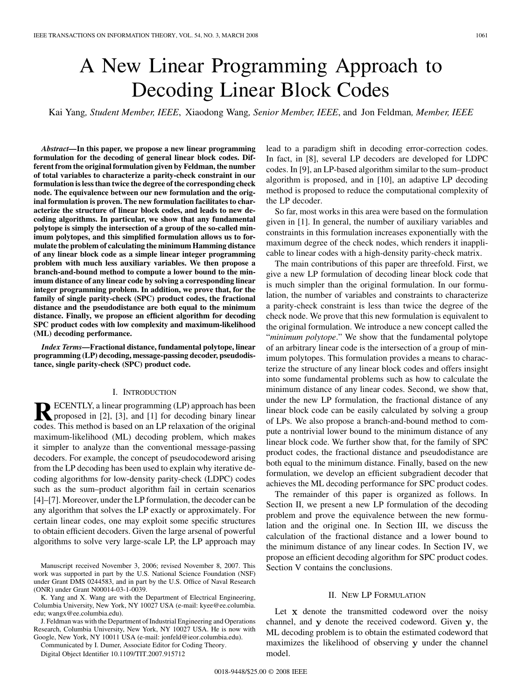# A New Linear Programming Approach to Decoding Linear Block Codes

Kai Yang*, Student Member, IEEE*, Xiaodong Wang*, Senior Member, IEEE*, and Jon Feldman*, Member, IEEE*

*Abstract—***In this paper, we propose a new linear programming formulation for the decoding of general linear block codes. Different from the original formulation given by Feldman, the number of total variables to characterize a parity-check constraint in our formulation is less than twice the degree of the corresponding check node. The equivalence between our new formulation and the original formulation is proven. The new formulation facilitates to characterize the structure of linear block codes, and leads to new decoding algorithms. In particular, we show that any fundamental polytope is simply the intersection of a group of the so-called minimum polytopes, and this simplified formulation allows us to formulate the problem of calculating the minimum Hamming distance of any linear block code as a simple linear integer programming problem with much less auxiliary variables. We then propose a branch-and-bound method to compute a lower bound to the minimum distance of any linear code by solving a corresponding linear integer programming problem. In addition, we prove that, for the family of single parity-check (SPC) product codes, the fractional distance and the pseudodistance are both equal to the minimum distance. Finally, we propose an efficient algorithm for decoding SPC product codes with low complexity and maximum-likelihood (ML) decoding performance.**

*Index Terms—***Fractional distance, fundamental polytope, linear programming (LP) decoding, message-passing decoder, pseudodistance, single parity-check (SPC) product code.**

#### I. INTRODUCTION

**RECENTLY, a linear programming (LP) approach has been**<br>proposed in [2], [3], and [1] for decoding binary linear codes. This method is based on an LP relaxation of the original maximum-likelihood (ML) decoding problem, which makes it simpler to analyze than the conventional message-passing decoders. For example, the concept of pseudocodeword arising from the LP decoding has been used to explain why iterative decoding algorithms for low-density parity-check (LDPC) codes such as the sum–product algorithm fail in certain scenarios [4]–[7]. Moreover, under the LP formulation, the decoder can be any algorithm that solves the LP exactly or approximately. For certain linear codes, one may exploit some specific structures to obtain efficient decoders. Given the large arsenal of powerful algorithms to solve very large-scale LP, the LP approach may

Manuscript received November 3, 2006; revised November 8, 2007. This work was supported in part by the U.S. National Science Foundation (NSF) under Grant DMS 0244583, and in part by the U.S. Office of Naval Research (ONR) under Grant N00014-03-1-0039.

K. Yang and X. Wang are with the Department of Electrical Engineering, Columbia University, New York, NY 10027 USA (e-mail: kyee@ee.columbia. edu; wangx@ee.columbia.edu).

J. Feldman was with the Department of Industrial Engineering and Operations Research, Columbia University, New York, NY 10027 USA. He is now with Google, New York, NY 10011 USA (e-mail: jonfeld@ieor.columbia.edu).

Communicated by I. Dumer, Associate Editor for Coding Theory.

Digital Object Identifier 10.1109/TIT.2007.915712

lead to a paradigm shift in decoding error-correction codes. In fact, in [8], several LP decoders are developed for LDPC codes. In [9], an LP-based algorithm similar to the sum–product algorithm is proposed, and in [10], an adaptive LP decoding method is proposed to reduce the computational complexity of the LP decoder.

So far, most works in this area were based on the formulation given in [1]. In general, the number of auxiliary variables and constraints in this formulation increases exponentially with the maximum degree of the check nodes, which renders it inapplicable to linear codes with a high-density parity-check matrix.

The main contributions of this paper are threefold. First, we give a new LP formulation of decoding linear block code that is much simpler than the original formulation. In our formulation, the number of variables and constraints to characterize a parity-check constraint is less than twice the degree of the check node. We prove that this new formulation is equivalent to the original formulation. We introduce a new concept called the "*minimum polytope*." We show that the fundamental polytope of an arbitrary linear code is the intersection of a group of minimum polytopes. This formulation provides a means to characterize the structure of any linear block codes and offers insight into some fundamental problems such as how to calculate the minimum distance of any linear codes. Second, we show that, under the new LP formulation, the fractional distance of any linear block code can be easily calculated by solving a group of LPs. We also propose a branch-and-bound method to compute a nontrivial lower bound to the minimum distance of any linear block code. We further show that, for the family of SPC product codes, the fractional distance and pseudodistance are both equal to the minimum distance. Finally, based on the new formulation, we develop an efficient subgradient decoder that achieves the ML decoding performance for SPC product codes.

The remainder of this paper is organized as follows. In Section II, we present a new LP formulation of the decoding problem and prove the equivalence between the new formulation and the original one. In Section III, we discuss the calculation of the fractional distance and a lower bound to the minimum distance of any linear codes. In Section IV, we propose an efficient decoding algorithm for SPC product codes. Section V contains the conclusions.

## II. NEW LP FORMULATION

Let  $x$  denote the transmitted codeword over the noisy channel, and y denote the received codeword. Given y, the ML decoding problem is to obtain the estimated codeword that maximizes the likelihood of observing  $y$  under the channel model.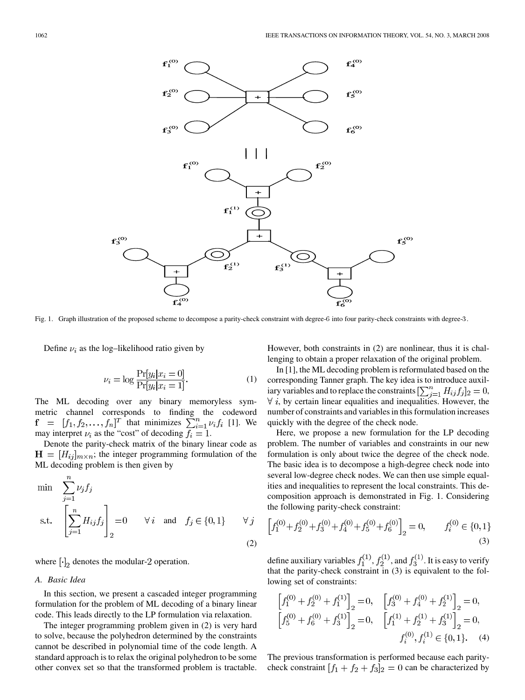

Fig. 1. Graph illustration of the proposed scheme to decompose a parity-check constraint with degree-6 into four parity-check constraints with degree-3.

Define  $\nu_i$  as the log–likelihood ratio given by

$$
\nu_i = \log \frac{\Pr[y_i | x_i = 0]}{\Pr[y_i | x_i = 1]}.
$$
\n(1)

The ML decoding over any binary memoryless symmetric channel corresponds to finding the codeword that minimizes  $\sum_{i=1}^n \nu_i f_i$  [1]. We may interpret  $\nu_i$  as the "cost" of decoding  $f_i = 1$ .

Denote the parity-check matrix of the binary linear code as  $\mathbf{H} = [H_{ij}]_{m \times n}$ ; the integer programming formulation of the ML decoding problem is then given by

$$
\begin{aligned}\n\min \quad & \sum_{j=1}^{n} \nu_j f_j \\
\text{s.t.} \quad & \left[ \sum_{j=1}^{n} H_{ij} f_j \right]_2 = 0 \qquad \forall \, i \quad \text{and} \quad f_j \in \{0, 1\} \qquad \forall \, j \\
& \tag{2}\n\end{aligned}
$$

where  $\lceil \cdot \rceil_2$  denotes the modular-2 operation.

## *A. Basic Idea*

In this section, we present a cascaded integer programming formulation for the problem of ML decoding of a binary linear code. This leads directly to the LP formulation via relaxation.

The integer programming problem given in (2) is very hard to solve, because the polyhedron determined by the constraints cannot be described in polynomial time of the code length. A standard approach is to relax the original polyhedron to be some other convex set so that the transformed problem is tractable.

However, both constraints in (2) are nonlinear, thus it is challenging to obtain a proper relaxation of the original problem.

In [1], the ML decoding problem is reformulated based on the corresponding Tanner graph. The key idea is to introduce auxiliary variables and to replace the constraints  $[\sum_{j=1}^{n} H_{ij}f_j]_2 = 0$ ,  $\forall$  *i*, by certain linear equalities and inequalities. However, the number of constraints and variables in this formulation increases quickly with the degree of the check node.

Here, we propose a new formulation for the LP decoding problem. The number of variables and constraints in our new formulation is only about twice the degree of the check node. The basic idea is to decompose a high-degree check node into several low-degree check nodes. We can then use simple equalities and inequalities to represent the local constraints. This decomposition approach is demonstrated in Fig. 1. Considering the following parity-check constraint:

$$
\[f_1^{(0)} + f_2^{(0)} + f_3^{(0)} + f_4^{(0)} + f_5^{(0)} + f_6^{(0)}\]_2 = 0, \qquad f_i^{(0)} \in \{0, 1\}
$$
\n(3)

define auxiliary variables  $f_1^{(1)}$ ,  $f_2^{(1)}$ , and  $f_3^{(1)}$ . It is easy to verify that the parity-check constraint in (3) is equivalent to the following set of constraints:

$$
\begin{bmatrix} f_1^{(0)} + f_2^{(0)} + f_1^{(1)} \end{bmatrix}_2 = 0, \quad \begin{bmatrix} f_3^{(0)} + f_4^{(0)} + f_2^{(1)} \end{bmatrix}_2 = 0,
$$
  

$$
\begin{bmatrix} f_5^{(0)} + f_6^{(0)} + f_3^{(1)} \end{bmatrix}_2 = 0, \quad \begin{bmatrix} f_1^{(1)} + f_2^{(1)} + f_3^{(1)} \end{bmatrix}_2 = 0,
$$
  

$$
f_i^{(0)}, f_i^{(1)} \in \{0, 1\}.
$$
 (4)

The previous transformation is performed because each paritycheck constraint  $[f_1 + f_2 + f_3]_2 = 0$  can be characterized by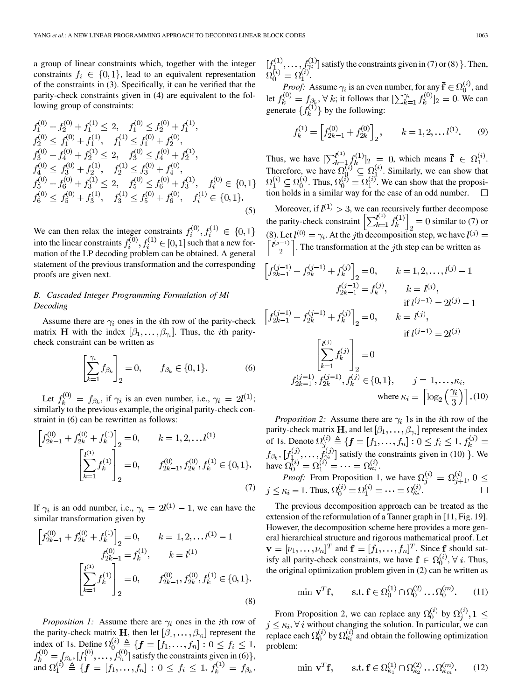a group of linear constraints which, together with the integer constraints  $f_i \in \{0,1\}$ , lead to an equivalent representation of the constraints in (3). Specifically, it can be verified that the parity-check constraints given in (4) are equivalent to the following group of constraints:

$$
f_1^{(0)} + f_2^{(0)} + f_1^{(1)} \le 2, \quad f_1^{(0)} \le f_2^{(0)} + f_1^{(1)},
$$
  
\n
$$
f_2^{(0)} \le f_1^{(0)} + f_1^{(1)}, \quad f_1^{(1)} \le f_1^{(0)} + f_2^{(0)},
$$
  
\n
$$
f_3^{(0)} + f_4^{(0)} + f_2^{(1)} \le 2, \quad f_3^{(0)} \le f_4^{(0)} + f_2^{(1)},
$$
  
\n
$$
f_4^{(0)} \le f_3^{(0)} + f_2^{(1)}, \quad f_2^{(1)} \le f_3^{(0)} + f_4^{(0)},
$$
  
\n
$$
f_5^{(0)} + f_6^{(0)} + f_3^{(1)} \le 2, \quad f_5^{(0)} \le f_6^{(0)} + f_3^{(1)}, \quad f_i^{(0)} \in \{0, 1\}.
$$
  
\n
$$
f_6^{(0)} \le f_5^{(0)} + f_3^{(1)}, \quad f_3^{(1)} \le f_5^{(0)} + f_6^{(0)}, \quad f_i^{(1)} \in \{0, 1\}.
$$
  
\n(5)

We can then relax the integer constraints into the linear constraints  $f_i^{(0)}, f_i^{(1)} \in [0,1]$  such that a new formation of the LP decoding problem can be obtained. A general statement of the previous transformation and the corresponding proofs are given next.

## *B. Cascaded Integer Programming Formulation of Ml Decoding*

Assume there are  $\gamma_i$  ones in the *i*th row of the parity-check matrix **H** with the index  $[\beta_1, \dots, \beta_{\gamma_i}]$ . Thus, the *i*th paritycheck constraint can be written as

$$
\left[\sum_{k=1}^{\gamma_i} f_{\beta_k}\right]_2 = 0, \qquad f_{\beta_k} \in \{0, 1\}.
$$
 (6)

Let  $f_k^{(0)} = f_{\beta_k}$ , if  $\gamma_i$  is an even number, i.e.,  $\gamma_i = 2l^{(1)}$ ; similarly to the previous example, the original parity-check constraint in (6) can be rewritten as follows:

$$
\begin{bmatrix} f_{2k-1}^{(0)} + f_{2k}^{(0)} + f_k^{(1)} \end{bmatrix}_2 = 0, \qquad k = 1, 2, \dots, l^{(1)}
$$

$$
\begin{bmatrix} l^{(1)} \\ \sum_{k=1}^{l^{(1)}} f_k^{(1)} \end{bmatrix}_2 = 0, \qquad f_{2k-1}^{(0)}, f_{2k}^{(0)}, f_k^{(1)} \in \{0, 1\}.
$$

$$
(7)
$$

If  $\gamma_i$  is an odd number, i.e.,  $\gamma_i = 2l^{(1)} - 1$ , we can have the similar transformation given by

$$
\[f_{2k-1}^{(0)} + f_{2k}^{(0)} + f_k^{(1)}\]_2 = 0, \qquad k = 1, 2, \dots, l^{(1)} - 1
$$

$$
f_{2k-1}^{(0)} = f_k^{(1)}, \qquad k = l^{(1)}
$$

$$
\[\left(\sum_{k=1}^{l^{(1)}} f_k^{(1)}\right)_2 = 0, \qquad f_{2k-1}^{(0)}, f_{2k}^{(0)}, f_k^{(1)} \in \{0, 1\}.
$$

$$
(8)
$$

*Proposition 1:* Assume there are  $\gamma_i$  ones in the *i*th row of the parity-check matrix **H**, then let  $[\beta_1, \ldots, \beta_{\gamma_i}]$  represent the index of 1s. Define  $\Omega_0^{(i)} \triangleq \{f = [f_1, \ldots, f_n] : 0 \leq f_i \leq 1, \}$ ,  $[f_1^{(0)}, \ldots, f_{\gamma_i}^{(0)}]$  satisfy the constraints given in (6) }, and  $\Omega_1^{(i)} \triangleq \{ \mathbf{f} = [f_1, \ldots, f_n] : 0 \leq f_i \leq 1, f_k^{(1)} = f_{\beta_k}, \}$ 

satisfy the constraints given in  $(7)$  or  $(8)$  . Then, .

*Proof:* Assume  $\gamma_i$  is an even number, for any  $f \in \Omega_0^{(i)}$ , and let  $f_k^{(0)} = f_{\beta_k}$ ,  $\forall$  k; it follows that  $[\sum_{k=1}^{\gamma_i} f_k^{(0)}]_2 = 0$ . We can generate  $\{f_k^{(1)}\}$  by the following:

$$
f_k^{(1)} = \left[f_{2k-1}^{(0)} + f_{2k}^{(0)}\right]_2, \qquad k = 1, 2, \dots, l^{(1)}.
$$
 (9)

Thus, we have  $\sum_{k=1}^{k} f_k^{(1)} \vert_2 = 0$ , which means  $f \in \Omega_1^{(i)}$ . Therefore, we have  $\Omega_0^{(i)} \subseteq \Omega_1^{(i)}$ . Similarly, we can show that . Thus,  $\Omega_0^{(i)} = \Omega_1^{(i)}$ . We can show that the proposition holds in a similar way for the case of an odd number.

Moreover, if  $l^{(1)} > 3$ , we can recursively further decompose the parity-check constraint  $\left|\sum_{k=1}^{k} f_k^{(1)}\right| = 0$  similar to (7) or (8). Let  $l^{(0)} = \gamma_i$ . At the jth decomposition step, we have . The transformation at the  $j$ th step can be written as

$$
\begin{aligned}\n\left[f_{2k-1}^{(j-1)} + f_{2k}^{(j-1)} + f_k^{(j)}\right]_2 &= 0, \qquad k = 1, 2, \dots, l^{(j)} - 1 \\
f_{2k-1}^{(j-1)} &= f_k^{(j)}, \qquad k = l^{(j)}, \\
\left[f_{2k-1}^{(j-1)} + f_{2k}^{(j-1)} + f_k^{(j)}\right]_2 &= 0, \qquad k = l^{(j)}, \\
\left[\sum_{k=1}^{l^{(j)}} f_k^{(j)}\right]_2 &= 0 \qquad \text{if } l^{(j-1)} = 2l^{(j)} \\
\left[\sum_{k=1}^{l^{(j)}} f_k^{(j)}\right]_2 &= 0 \\
f_{2k-1}^{(j-1)}, f_{2k}^{(j-1)}, f_k^{(j)} &\in \{0, 1\}, \qquad j = 1, \dots, \kappa_i, \\
\text{where } \kappa_i &= \left[\log_2\left(\frac{\gamma_i}{2}\right)\right].\n\end{aligned}
$$

*Proposition 2:* Assume there are  $\gamma_i$  1s in the *i*th row of the parity-check matrix **H**, and let  $[\beta_1, \ldots, \beta_{\gamma_i}]$  represent the index of 1s. Denote  $\Omega_i^{(i)} \triangleq \{ \boldsymbol{f} = [f_1, \ldots, f_n] : 0 \leq f_i \leq 1, \}$ ,  $[f_1^{(j)},...,f_{\gamma_i}^{(j)}]$  satisfy the constraints given in (10) }. We have  $\Omega_0^{(i)} = \Omega_1^{(i)} = \cdots = \Omega_{\kappa_i}^{(i)}$ .

*Proof:* From Proposition 1, we have 
$$
\Omega_j^{(i)} = \Omega_{j+1}^{(i)}
$$
,  $0 \le j \le \kappa_i - 1$ . Thus,  $\Omega_0^{(i)} = \Omega_1^{(i)} = \cdots = \Omega_{\kappa_i}^{(i)}$ .

The previous decomposition approach can be treated as the extension of the reformulation of a Tanner graph in [11, Fig. 19]. However, the decomposition scheme here provides a more general hierarchical structure and rigorous mathematical proof. Let and  $\mathbf{f} = [f_1, \dots, f_n]^T$ . Since f should satisfy all parity-check constraints, we have  $f \in \Omega_0^{(v)}$ ,  $\forall i$ . Thus, the original optimization problem given in (2) can be written as

$$
\min \mathbf{v}^T \mathbf{f}, \qquad \text{s.t. } \mathbf{f} \in \Omega_0^{(1)} \cap \Omega_0^{(2)} \dots \Omega_0^{(m)}.
$$
 (11)

From Proposition 2, we can replace any  $\Omega_0^{(i)}$  by ,  $\forall i$  without changing the solution. In particular, we can replace each  $\Omega_0^{(i)}$  by  $\Omega_{\kappa_i}^{(i)}$  and obtain the following optimization problem:

$$
\min \mathbf{v}^T \mathbf{f}, \qquad \text{s.t. } \mathbf{f} \in \Omega_{\kappa_1}^{(1)} \cap \Omega_{\kappa_2}^{(2)} \dots \Omega_{\kappa_m}^{(m)}.\tag{12}
$$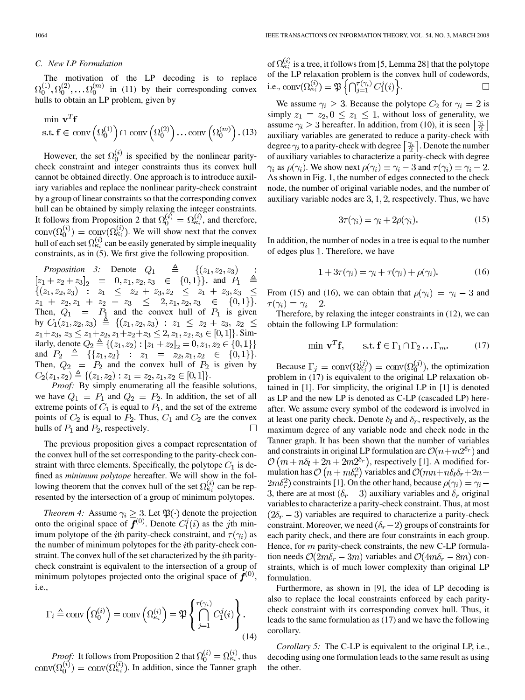The motivation of the LP decoding is to replace  $\Omega_0^{(1)}, \Omega_0^{(2)}, \ldots \Omega_0^{(m)}$  in (11) by their corresponding convex hulls to obtain an LP problem, given by

$$
\min \mathbf{v}^T \mathbf{f} \text{s.t. } \mathbf{f} \in \text{conv}\left(\Omega_0^{(1)}\right) \cap \text{conv}\left(\Omega_0^{(2)}\right) \dots \text{conv}\left(\Omega_0^{(m)}\right). (13)
$$

However, the set  $\Omega_0^{(i)}$  is specified by the nonlinear paritycheck constraint and integer constraints thus its convex hull cannot be obtained directly. One approach is to introduce auxiliary variables and replace the nonlinear parity-check constraint by a group of linear constraints so that the corresponding convex hull can be obtained by simply relaxing the integer constraints. It follows from Proposition 2 that  $\Omega_0^{(i)} = \Omega_{\kappa_i}^{(i)}$ , and therefore,  $conv(\Omega_0^{(i)}) = conv(\Omega_{\kappa_i}^{(i)})$ . We will show next that the convex hull of each set  $\Omega_{\kappa_i}^{(i)}$  can be easily generated by simple inequality constraints, as in (5). We first give the following proposition.

*Proposition 3:* Denote , and . Then,  $Q_1 = P_1$  and the convex hull of  $P_1$  is given by  $z_1 + z_3, z_3 \leq z_1 + z_2, z_1 + z_2 + z_3 \leq 2, z_1, z_2, z_3 \in [0, 1]$ . Similarly, denote  $Q_2 \triangleq \{(z_1, z_2) : [z_1 + z_2]_2 = 0, z_1, z_2 \in \{0, 1\}\}\$ and  $P_2 \triangleq {\{z_1, z_2\}}$  :  $z_1 = z_2, z_1, z_2 \in {\{0, 1\}}$ . Then,  $Q_2 = P_2$  and the convex hull of  $P_2$  is given by  $C_2(z_1, z_2) \triangleq \{ (z_1, z_2) : z_1 = z_2, z_1, z_2 \in [0, 1] \}.$ 

*Proof:* By simply enumerating all the feasible solutions, we have  $Q_1 = P_1$  and  $Q_2 = P_2$ . In addition, the set of all extreme points of  $C_1$  is equal to  $P_1$ , and the set of the extreme points of  $C_2$  is equal to  $P_2$ . Thus,  $C_1$  and  $C_2$  are the convex hulls of  $P_1$  and  $P_2$ , respectively.  $\Box$ 

The previous proposition gives a compact representation of the convex hull of the set corresponding to the parity-check constraint with three elements. Specifically, the polytope  $C_1$  is defined as *minimum polytope* hereafter. We will show in the following theorem that the convex hull of the set  $\Omega_{\kappa_i}^{(\iota)}$  can be represented by the intersection of a group of minimum polytopes.

*Theorem 4:* Assume  $\gamma_i \geq 3$ . Let  $\mathfrak{P}(\cdot)$  denote the projection onto the original space of  $f^{(0)}$ . Denote  $C_1^j(i)$  as the jth minimum polytope of the *i*th parity-check constraint, and  $\tau(\gamma_i)$  as the number of minimum polytopes for the  $i$ th parity-check constraint. The convex hull of the set characterized by the  $i$ th paritycheck constraint is equivalent to the intersection of a group of minimum polytopes projected onto the original space of  $f^{(0)}$ , i.e.,

$$
\Gamma_i \triangleq \text{conv}\left(\Omega_0^{(i)}\right) = \text{conv}\left(\Omega_{\kappa_i}^{(i)}\right) = \mathfrak{P}\left\{\bigcap_{j=1}^{\tau(\gamma_i)} C_1^j(i)\right\}.
$$
\n(14)

*Proof:* It follows from Proposition 2 that  $\Omega_0^{(i)} = \Omega_{\kappa_i}^{(i)}$ , thus  $\text{conv}(\Omega_0^{(i)}) = \text{conv}(\Omega_{\kappa_i}^{(i)})$ . In addition, since the Tanner graph

of  $\Omega_{\kappa_i}^{(i)}$  is a tree, it follows from [5, Lemma 28] that the polytope of the LP relaxation problem is the convex hull of codewords, i.e.,  $\text{conv}(\Omega_{\kappa_i}^{(i)}) = \mathfrak{P}\left\{\bigcap_{i=1}^{\tau(\gamma_i)} C_1^j(i)\right\}.$ 

We assume  $\gamma_i \geq 3$ . Because the polytope  $C_2$  for  $\gamma_i = 2$  is simply  $z_1 = z_2, 0 \le z_1 \le 1$ , without loss of generality, we assume  $\gamma_i \geq 3$  hereafter. In addition, from (10), it is seen  $\left|\frac{\gamma_i}{2}\right|$ auxiliary variables are generated to reduce a parity-check with degree  $\gamma_i$  to a parity-check with degree  $\left[\frac{\gamma_i}{2}\right]$ . Denote the number of auxiliary variables to characterize a parity-check with degree  $\gamma_i$  as  $\rho(\gamma_i)$ . We show next  $\rho(\gamma_i) = \gamma_i - 3$  and  $\tau(\gamma_i) = \gamma_i - 2$ . As shown in Fig. 1, the number of edges connected to the check node, the number of original variable nodes, and the number of auxiliary variable nodes are  $3, 1, 2$ , respectively. Thus, we have

$$
3\tau(\gamma_i) = \gamma_i + 2\rho(\gamma_i). \tag{15}
$$

In addition, the number of nodes in a tree is equal to the number of edges plus 1. Therefore, we have

$$
1 + 3\tau(\gamma_i) = \gamma_i + \tau(\gamma_i) + \rho(\gamma_i). \tag{16}
$$

From (15) and (16), we can obtain that  $\rho(\gamma_i) = \gamma_i - 3$  and  $\tau(\gamma_i) = \gamma_i - 2.$ 

Therefore, by relaxing the integer constraints in (12), we can obtain the following LP formulation:

$$
\min \mathbf{v}^T \mathbf{f}, \qquad \text{s.t. } \mathbf{f} \in \Gamma_1 \cap \Gamma_2 \dots \Gamma_m. \tag{17}
$$

Because  $\Gamma_j = \text{conv}(\Omega_{\kappa_j}^{(j)}) = \text{conv}(\Omega_0^{(j)})$ , the optimization problem in  $(17)$  is equivalent to the original LP relaxation obtained in [1]. For simplicity, the original LP in [1] is denoted as LP and the new LP is denoted as C-LP (cascaded LP) hereafter. We assume every symbol of the codeword is involved in at least one parity check. Denote  $\delta_l$  and  $\delta_r$ , respectively, as the maximum degree of any variable node and check node in the Tanner graph. It has been shown that the number of variables and constraints in original LP formulation are  $\mathcal{O}(n+m2^{\delta_r})$  and , respectively [1]. A modified formulation has  $\mathcal{O}(n+m\delta_r^2)$  variables and  $2m\delta_r^2$ ) constraints [1]. On the other hand, because  $\rho(\gamma_i) = \gamma_i$  – 3, there are at most  $(\delta_r - 3)$  auxiliary variables and  $\delta_r$  original variables to characterize a parity-check constraint. Thus, at most  $(2\delta_r - 3)$  variables are required to characterize a parity-check constraint. Moreover, we need  $(\delta_r - 2)$  groups of constraints for each parity check, and there are four constraints in each group. Hence, for  $m$  parity-check constraints, the new C-LP formulation needs  $\mathcal{O}(2m\delta_r-3m)$  variables and  $\mathcal{O}(4m\delta_r-8m)$  constraints, which is of much lower complexity than original LP formulation.

Furthermore, as shown in [9], the idea of LP decoding is also to replace the local constraints enforced by each paritycheck constraint with its corresponding convex hull. Thus, it leads to the same formulation as (17) and we have the following corollary.

*Corollary 5:* The C-LP is equivalent to the original LP, i.e., decoding using one formulation leads to the same result as using the other.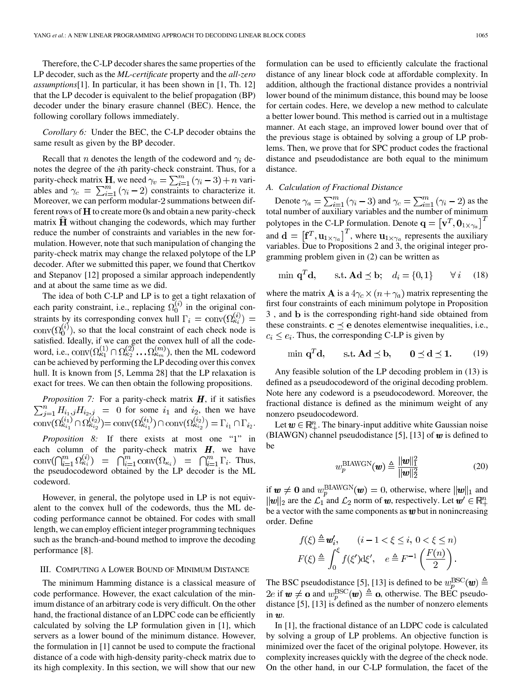Therefore, the C-LP decoder shares the same properties of the LP decoder, such as the *ML-certificate* property and the *all-zero assumptions*[1]. In particular, it has been shown in [1, Th. 12] that the LP decoder is equivalent to the belief propagation (BP) decoder under the binary erasure channel (BEC). Hence, the following corollary follows immediately.

*Corollary 6:* Under the BEC, the C-LP decoder obtains the same result as given by the BP decoder.

Recall that *n* denotes the length of the codeword and  $\gamma_i$  denotes the degree of the  $i$ th parity-check constraint. Thus, for a parity-check matrix **H**, we need  $\gamma_v = \sum_{i=1}^m (\gamma_i - 3) + n$  variables and  $\gamma_c = \sum_{i=1}^m (\gamma_i - 2)$  constraints to characterize it. Moreover, we can perform modular-2 summations between different rows of  $H$  to create more 0s and obtain a new parity-check matrix  $\hat{H}$  without changing the codewords, which may further reduce the number of constraints and variables in the new formulation. However, note that such manipulation of changing the parity-check matrix may change the relaxed polytope of the LP decoder. After we submitted this paper, we found that Chertkov and Stepanov [12] proposed a similar approach independently and at about the same time as we did.

The idea of both C-LP and LP is to get a tight relaxation of each parity constraint, i.e., replacing  $\Omega_0^{(i)}$  in the original constraints by its corresponding convex hull  $\Gamma_i = \text{conv}(\Omega_{\kappa_i}^{(i)}) =$  $conv(\Omega_0^{(i)})$ , so that the local constraint of each check node is satisfied. Ideally, if we can get the convex hull of all the codeword, i.e.,  $conv(\Omega_{\kappa_1}^{(1)} \cap \Omega_{\kappa_2}^{(2)} \dots \Omega_{\kappa_m}^{(m)})$ , then the ML codeword can be achieved by performing the LP decoding over this convex hull. It is known from [5, Lemma 28] that the LP relaxation is exact for trees. We can then obtain the following propositions.

*Proposition 7:* For a parity-check matrix  $H$ , if it satisfies for some  $i_1$  and  $i_2$ , then we have .

*Proposition 8:* If there exists at most one "1" in each column of the parity-check matrix  $H$ , we have . Thus, the pseudocodeword obtained by the LP decoder is the ML codeword.

However, in general, the polytope used in LP is not equivalent to the convex hull of the codewords, thus the ML decoding performance cannot be obtained. For codes with small length, we can employ efficient integer programming techniques such as the branch-and-bound method to improve the decoding performance [8].

#### III. COMPUTING A LOWER BOUND OF MINIMUM DISTANCE

The minimum Hamming distance is a classical measure of code performance. However, the exact calculation of the minimum distance of an arbitrary code is very difficult. On the other hand, the fractional distance of an LDPC code can be efficiently calculated by solving the LP formulation given in [1], which servers as a lower bound of the minimum distance. However, the formulation in [1] cannot be used to compute the fractional distance of a code with high-density parity-check matrix due to its high complexity. In this section, we will show that our new

formulation can be used to efficiently calculate the fractional distance of any linear block code at affordable complexity. In addition, although the fractional distance provides a nontrivial lower bound of the minimum distance, this bound may be loose for certain codes. Here, we develop a new method to calculate a better lower bound. This method is carried out in a multistage manner. At each stage, an improved lower bound over that of the previous stage is obtained by solving a group of LP problems. Then, we prove that for SPC product codes the fractional distance and pseudodistance are both equal to the minimum distance.

## *A. Calculation of Fractional Distance*

r

Denote  $\gamma_a = \sum_{i=1}^m (\gamma_i - 3)$  and  $\gamma_c = \sum_{i=1}^m (\gamma_i - 2)$  as the total number of auxiliary variables and the number of minimum polytopes in the C-LP formulation. Denote and  $\mathbf{d} = [\mathbf{f}^T, \mathbf{u}_{1 \times \gamma_a}]^T$ , where  $\mathbf{u}_{1 \times \gamma_a}$  represents the auxiliary variables. Due to Propositions 2 and 3, the original integer programming problem given in (2) can be written as

$$
\min \mathbf{q}^T \mathbf{d}, \qquad \text{s.t. } \mathbf{A}\mathbf{d} \preceq \mathbf{b}; \quad d_i = \{0, 1\} \qquad \forall i \tag{18}
$$

where the matrix **A** is a  $4\gamma_c \times (n + \gamma_a)$  matrix representing the first four constraints of each minimum polytope in Proposition 3, and **b** is the corresponding right-hand side obtained from these constraints.  $c \preceq e$  denotes elementwise inequalities, i.e.,  $c_i \leq e_i$ . Thus, the corresponding C-LP is given by

$$
\min \mathbf{q}^T \mathbf{d}, \qquad \text{s.t. } \mathbf{A} \mathbf{d} \preceq \mathbf{b}, \qquad \mathbf{0} \preceq \mathbf{d} \preceq \mathbf{1}. \tag{19}
$$

Any feasible solution of the LP decoding problem in (13) is defined as a pseudocodeword of the original decoding problem. Note here any codeword is a pseudocodeword. Moreover, the fractional distance is defined as the minimum weight of any nonzero pseudocodeword.

Let  $w \in \mathbb{R}^n_+$ . The binary-input additive white Gaussian noise (BIAWGN) channel pseudodistance [5], [13] of  $w$  is defined to be

$$
w_p^{\text{BIAWGN}}(\boldsymbol{w}) \triangleq \frac{\|\boldsymbol{w}\|_1^2}{\|\boldsymbol{w}\|_2^2}
$$
(20)

if  $\mathbf{w} \neq \mathbf{0}$  and  $w_p^{\text{BIAWGN}}(\mathbf{w}) = 0$ , otherwise, where  $||\mathbf{w}||_1$  and  $||w||_2$  are the  $\mathcal{L}_1$  and  $\mathcal{L}_2$  norm of w, respectively. Let  $w' \in \mathbb{R}^n_+$ be a vector with the same components as  $w$  but in nonincreasing order. Define

$$
f(\xi) \stackrel{\Delta}{=} w'_i, \qquad (i - 1 < \xi \le i, \ 0 < \xi \le n)
$$
\n
$$
F(\xi) \stackrel{\Delta}{=} \int_0^{\xi} f(\xi') d\xi', \quad e \stackrel{\Delta}{=} F^{-1}\left(\frac{F(n)}{2}\right).
$$

The BSC pseudodistance [5], [13] is defined to be if  $w \neq o$  and  $w_p^{\text{BSC}}(w) \triangleq o$ , otherwise. The BEC pseudodistance [5], [13] is defined as the number of nonzero elements in  $w$ .

In [1], the fractional distance of an LDPC code is calculated by solving a group of LP problems. An objective function is minimized over the facet of the original polytope. However, its complexity increases quickly with the degree of the check node. On the other hand, in our C-LP formulation, the facet of the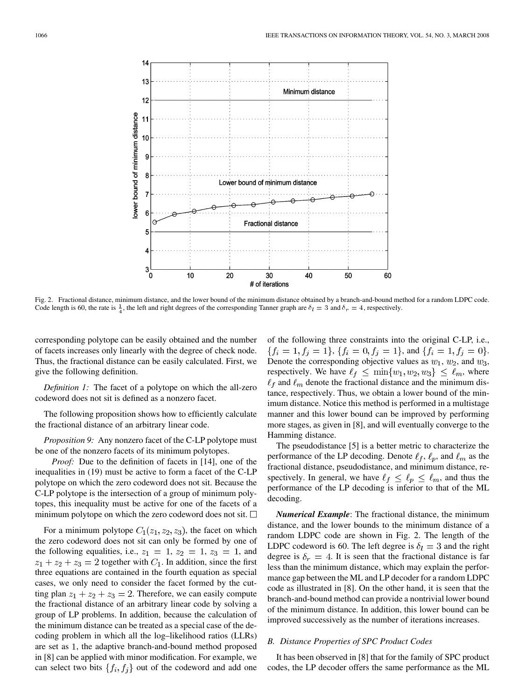

Fig. 2. Fractional distance, minimum distance, and the lower bound of the minimum distance obtained by a branch-and-bound method for a random LDPC code. Code length is 60, the rate is  $\frac{1}{4}$ , the left and right degrees of the corresponding Tanner graph are  $\delta_l = 3$  and  $\delta_r = 4$ , respectively.

corresponding polytope can be easily obtained and the number of facets increases only linearly with the degree of check node. Thus, the fractional distance can be easily calculated. First, we give the following definition.

*Definition 1:* The facet of a polytope on which the all-zero codeword does not sit is defined as a nonzero facet.

The following proposition shows how to efficiently calculate the fractional distance of an arbitrary linear code.

*Proposition 9:* Any nonzero facet of the C-LP polytope must be one of the nonzero facets of its minimum polytopes.

*Proof:* Due to the definition of facets in [14], one of the inequalities in (19) must be active to form a facet of the C-LP polytope on which the zero codeword does not sit. Because the C-LP polytope is the intersection of a group of minimum polytopes, this inequality must be active for one of the facets of a minimum polytope on which the zero codeword does not sit.  $\Box$ 

For a minimum polytope  $C_1(z_1, z_2, z_3)$ , the facet on which the zero codeword does not sit can only be formed by one of the following equalities, i.e.,  $z_1 = 1$ ,  $z_2 = 1$ ,  $z_3 = 1$ , and  $z_1 + z_2 + z_3 = 2$  together with  $C_1$ . In addition, since the first three equations are contained in the fourth equation as special cases, we only need to consider the facet formed by the cutting plan  $z_1 + z_2 + z_3 = 2$ . Therefore, we can easily compute the fractional distance of an arbitrary linear code by solving a group of LP problems. In addition, because the calculation of the minimum distance can be treated as a special case of the decoding problem in which all the log–likelihood ratios (LLRs) are set as 1, the adaptive branch-and-bound method proposed in [8] can be applied with minor modification. For example, we can select two bits  $\{f_i, f_j\}$  out of the codeword and add one

of the following three constraints into the original C-LP, i.e.,  ${f_i = 1, f_j = 1}, {f_i = 0, f_j = 1}, \text{ and } {f_i = 1, f_j = 0}.$ Denote the corresponding objective values as  $w_1$ ,  $w_2$ , and  $w_3$ , respectively. We have  $\ell_f \leq \min\{w_1, w_2, w_3\} \leq \ell_m$ , where  $\ell_f$  and  $\ell_m$  denote the fractional distance and the minimum distance, respectively. Thus, we obtain a lower bound of the minimum distance. Notice this method is performed in a multistage manner and this lower bound can be improved by performing more stages, as given in [8], and will eventually converge to the Hamming distance.

The pseudodistance [5] is a better metric to characterize the performance of the LP decoding. Denote  $\ell_f$ ,  $\ell_p$ , and  $\ell_m$  as the fractional distance, pseudodistance, and minimum distance, respectively. In general, we have  $\ell_f \leq \ell_p \leq \ell_m$ , and thus the performance of the LP decoding is inferior to that of the ML decoding.

*Numerical Example*: The fractional distance, the minimum distance, and the lower bounds to the minimum distance of a random LDPC code are shown in Fig. 2. The length of the LDPC codeword is 60. The left degree is  $\delta_l = 3$  and the right degree is  $\delta_r = 4$ . It is seen that the fractional distance is far less than the minimum distance, which may explain the performance gap between the ML and LP decoder for a random LDPC code as illustrated in [8]. On the other hand, it is seen that the branch-and-bound method can provide a nontrivial lower bound of the minimum distance. In addition, this lower bound can be improved successively as the number of iterations increases.

## *B. Distance Properties of SPC Product Codes*

It has been observed in [8] that for the family of SPC product codes, the LP decoder offers the same performance as the ML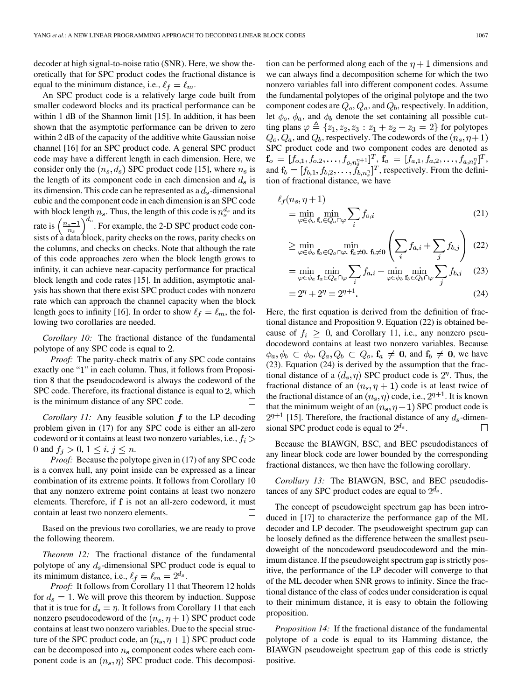decoder at high signal-to-noise ratio (SNR). Here, we show theoretically that for SPC product codes the fractional distance is equal to the minimum distance, i.e.,  $\ell_f = \ell_m$ .

An SPC product code is a relatively large code built from smaller codeword blocks and its practical performance can be within 1 dB of the Shannon limit [15]. In addition, it has been shown that the asymptotic performance can be driven to zero within 2 dB of the capacity of the additive white Gaussian noise channel [16] for an SPC product code. A general SPC product code may have a different length in each dimension. Here, we consider only the  $(n_s, d_s)$  SPC product code [15], where  $n_s$  is the length of its component code in each dimension and  $d_s$  is its dimension. This code can be represented as a  $d_s$ -dimensional cubic and the component code in each dimension is an SPC code with block length  $n_s$ . Thus, the length of this code is  $n_s^{d_s}$  and its rate is  $\left(\frac{n_s-1}{n}\right)$ . For example, the 2-D SPC product code consists of a data block, parity checks on the rows, parity checks on the columns, and checks on checks. Note that although the rate of this code approaches zero when the block length grows to infinity, it can achieve near-capacity performance for practical block length and code rates [15]. In addition, asymptotic analysis has shown that there exist SPC product codes with nonzero rate which can approach the channel capacity when the block length goes to infinity [16]. In order to show  $\ell_f = \ell_m$ , the following two corollaries are needed.

*Corollary 10:* The fractional distance of the fundamental polytope of any SPC code is equal to 2.

*Proof:* The parity-check matrix of any SPC code contains exactly one "1" in each column. Thus, it follows from Proposition 8 that the pseudocodeword is always the codeword of the SPC code. Therefore, its fractional distance is equal to 2, which is the minimum distance of any SPC code.  $\Box$ 

*Corollary 11:* Any feasible solution  $f$  to the LP decoding problem given in (17) for any SPC code is either an all-zero codeword or it contains at least two nonzero variables, i.e.,  $f_i$  > 0 and  $f_i > 0, 1 \le i, j \le n$ .

*Proof:* Because the polytope given in (17) of any SPC code is a convex hull, any point inside can be expressed as a linear combination of its extreme points. It follows from Corollary 10 that any nonzero extreme point contains at least two nonzero elements. Therefore, if  $f$  is not an all-zero codeword, it must contain at least two nonzero elements.  $\Box$ 

Based on the previous two corollaries, we are ready to prove the following theorem.

*Theorem 12:* The fractional distance of the fundamental polytope of any  $d_s$ -dimensional SPC product code is equal to its minimum distance, i.e.,  $\ell_f = \ell_m = 2^{d_s}$ .

*Proof:* It follows from Corollary 11 that Theorem 12 holds for  $d_s = 1$ . We will prove this theorem by induction. Suppose that it is true for  $d_s = \eta$ . It follows from Corollary 11 that each nonzero pseudocodeword of the  $(n_s, \eta + 1)$  SPC product code contains at least two nonzero variables. Due to the special structure of the SPC product code, an  $(n_s, \eta + 1)$  SPC product code can be decomposed into  $n<sub>s</sub>$  component codes where each component code is an  $(n_s, \eta)$  SPC product code. This decomposition can be performed along each of the  $\eta + 1$  dimensions and we can always find a decomposition scheme for which the two nonzero variables fall into different component codes. Assume the fundamental polytopes of the original polytope and the two component codes are  $Q_0$ ,  $Q_a$ , and  $Q_b$ , respectively. In addition, let  $\phi_o$ ,  $\phi_a$ , and  $\phi_b$  denote the set containing all possible cutting plans  $\varphi \triangleq \{z_1, z_2, z_3 : z_1 + z_2 + z_3 = 2\}$  for polytopes  $Q_o, Q_a$ , and  $Q_b$ , respectively. The codewords of the  $(n_s, \eta+1)$ SPC product code and two component codes are denoted as  $\mathbf{f}_o = [f_{o,1}, f_{o,2}, \dots, f_{o,n_s^{\eta+1}}]^T$ ,  $\hat{\mathbf{f}}_a = [f_{a,1}, f_{a,2}, \dots, f_{a,n_s^{\eta}}]^T$ , and  $f_b = [f_{b,1}, f_{b,2}, \ldots, f_{b,n}]^T$ , respectively. From the definition of fractional distance, we have

$$
\ell_f(n_s, \eta + 1) = \min_{\varphi \in \phi_o} \min_{\mathbf{f}_o \in Q_o \cap \varphi} \sum_i f_{o,i}
$$
\n(21)

$$
\geq \min_{\varphi \in \phi_o} \min_{\mathbf{f}_o \in Q_o \cap \varphi, \mathbf{f}_a \neq \mathbf{0}, \mathbf{f}_b \neq \mathbf{0}} \left( \sum_i f_{a,i} + \sum_j f_{b,j} \right) (22)
$$

$$
= \min_{\varphi \in \phi_a} \min_{\mathbf{f}_a \in Q_a \cap \varphi} \sum_i f_{a,i} + \min_{\varphi \in \phi_b} \min_{\mathbf{f}_b \in Q_b \cap \varphi} \sum_j f_{b,j} \quad (23)
$$

$$
=2^{\eta} + 2^{\eta} = 2^{\eta+1}.
$$
 (24)

Here, the first equation is derived from the definition of fractional distance and Proposition 9. Equation (22) is obtained because of  $f_i > 0$ , and Corollary 11, i.e., any nonzero pseudocodeword contains at least two nonzero variables. Because  $\phi_a, \phi_b \subset \phi_o, Q_a, Q_b \subset Q_o, \mathbf{f}_a \neq \mathbf{0}$ , and  $\mathbf{f}_b \neq \mathbf{0}$ , we have (23). Equation (24) is derived by the assumption that the fractional distance of a  $(d_s, \eta)$  SPC product code is  $2^{\eta}$ . Thus, the fractional distance of an  $(n_s, \eta + 1)$  code is at least twice of the fractional distance of an  $(n_s, \eta)$  code, i.e.,  $2^{\eta+1}$ . It is known that the minimum weight of an  $(n_s, \eta + 1)$  SPC product code is  $2<sup>{\eta+1}</sup>$  [15]. Therefore, the fractional distance of any  $d_s$ -dimensional SPC product code is equal to  $2^{d_s}$ .  $\Box$ 

Because the BIAWGN, BSC, and BEC pseudodistances of any linear block code are lower bounded by the corresponding fractional distances, we then have the following corollary.

*Corollary 13:* The BIAWGN, BSC, and BEC pseudodistances of any SPC product codes are equal to  $2^{d_s}$ .

The concept of pseudoweight spectrum gap has been introduced in [17] to characterize the performance gap of the ML decoder and LP decoder. The pseudoweight spectrum gap can be loosely defined as the difference between the smallest pseudoweight of the noncodeword pseudocodeword and the minimum distance. If the pseudoweight spectrum gap is strictly positive, the performance of the LP decoder will converge to that of the ML decoder when SNR grows to infinity. Since the fractional distance of the class of codes under consideration is equal to their minimum distance, it is easy to obtain the following proposition.

*Proposition 14:* If the fractional distance of the fundamental polytope of a code is equal to its Hamming distance, the BIAWGN pseudoweight spectrum gap of this code is strictly positive.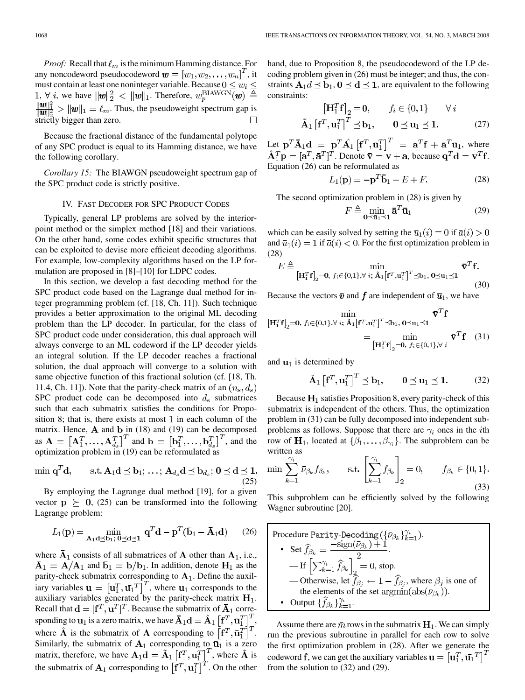*Proof:* Recall that  $\ell_m$  is the minimum Hamming distance. For any noncodeword pseudocodeword  $\mathbf{w} = [w_1, w_2, \dots, w_n]^T$ , it must contain at least one noninteger variable. Because ,  $\forall i$ , we have  $||\boldsymbol{w}||_2^2 < ||\boldsymbol{w}||_1$ . Therefore,  $\frac{\|\mathbf{w}\|_1^2}{\|\mathbf{w}\|_2^2} > \|\mathbf{w}\|_1 = \ell_m$ . Thus, the pseudoweight spectrum gap is strictly bigger than zero.

Because the fractional distance of the fundamental polytope of any SPC product is equal to its Hamming distance, we have the following corollary.

*Corollary 15:* The BIAWGN pseudoweight spectrum gap of the SPC product code is strictly positive.

### IV. FAST DECODER FOR SPC PRODUCT CODES

Typically, general LP problems are solved by the interiorpoint method or the simplex method [18] and their variations. On the other hand, some codes exhibit specific structures that can be exploited to devise more efficient decoding algorithms. For example, low-complexity algorithms based on the LP formulation are proposed in [8]–[10] for LDPC codes.

In this section, we develop a fast decoding method for the SPC product code based on the Lagrange dual method for integer programming problem (cf. [18, Ch. 11]). Such technique provides a better approximation to the original ML decoding problem than the LP decoder. In particular, for the class of SPC product code under consideration, this dual approach will always converge to an ML codeword if the LP decoder yields an integral solution. If the LP decoder reaches a fractional solution, the dual approach will converge to a solution with same objective function of this fractional solution (cf. [18, Th. 11.4, Ch. 11]). Note that the parity-check matrix of an  $(n_s, d_s)$ SPC product code can be decomposed into  $d_s$  submatrices such that each submatrix satisfies the conditions for Proposition 8; that is, there exists at most  $1$  in each column of the matrix. Hence,  $\bf{A}$  and  $\bf{b}$  in (18) and (19) can be decomposed as  $\mathbf{A} = [\mathbf{A}_1^T, \dots, \mathbf{A}_d^T]^T$  and  $\mathbf{b} = [\mathbf{b}_1^T, \dots, \mathbf{b}_d^T]^T$ , and the optimization problem in (19) can be reformulated as

$$
\min \mathbf{q}^T\mathbf{d}, \qquad \text{s.t.} \ \mathbf{A}_1\mathbf{d} \preceq \mathbf{b}_1; \ \ldots; \ \mathbf{A}_{d_s}\mathbf{d} \preceq \mathbf{b}_{d_s}; \ \mathbf{0} \preceq \mathbf{d} \preceq \mathbf{1}. \tag{25}
$$

By employing the Lagrange dual method [19], for a given vector  $p \succeq 0$ , (25) can be transformed into the following Lagrange problem:

$$
L_1(\mathbf{p}) = \min_{\mathbf{A}_1 \mathbf{d} \preceq \mathbf{b}_1; \, \mathbf{0} \preceq \mathbf{d} \preceq \mathbf{1}} \mathbf{q}^T \mathbf{d} - \mathbf{p}^T (\bar{\mathbf{b}}_1 - \bar{\mathbf{A}}_1 \mathbf{d}) \tag{26}
$$

where  $A_1$  consists of all submatrices of  $A$  other than  $A_1$ , i.e.,  $\bar{A}_1 = A/A_1$  and  $\bar{b}_1 = b/b_1$ . In addition, denote  $H_1$  as the parity-check submatrix corresponding to  $A_1$ . Define the auxiliary variables  $\mathbf{u} = [\mathbf{u}_1^T, \mathbf{\bar{u}}_1^T]^T$ , where  $\mathbf{u}_1$  corresponds to the auxiliary variables generated by the parity-check matrix  $H_1$ . Recall that  $\mathbf{d} = [\mathbf{f}^T, \mathbf{u}^T]^T$ . Because the submatrix of  $\bar{\mathbf{A}}_1$  corresponding to  $\mathbf{u}_1$  is a zero matrix, we have  $\mathbf{A}_1\mathbf{d} = \mathbf{A}_1 \|\mathbf{f}^\mathsf{T}, \mathbf{\bar{u}}_1^\mathsf{T}\|^2$ , where **A** is the submatrix of **A** corresponding to  $\left| \mathbf{f}^T, \mathbf{u}_1^T \right|^T$ . Similarly, the submatrix of  $A_1$  corresponding to  $\bar{u}_1$  is a zero matrix, therefore, we have  $A_1 d = A_1 |f^T, u_1^T|^T$ , where A is the submatrix of  $\mathbf{A}_1$  corresponding to  $[\mathbf{r}^T, \mathbf{u}_1^T]^T$ . On the other hand, due to Proposition 8, the pseudocodeword of the LP decoding problem given in (26) must be integer; and thus, the constraints  $A_1 d \leq b_1$ ,  $0 \leq d \leq 1$ , are equivalent to the following constraints:

$$
\begin{bmatrix} \mathbf{H}_{1}^{T} \mathbf{f} \end{bmatrix}_{2} = \mathbf{0}, \qquad f_{i} \in \{0, 1\} \qquad \forall i
$$
  
\n
$$
\tilde{\mathbf{A}}_{1} \begin{bmatrix} \mathbf{f}^{T}, \mathbf{u}_{1}^{T} \end{bmatrix}^{T} \preceq \mathbf{b}_{1}, \qquad \mathbf{0} \preceq \mathbf{u}_{1} \preceq \mathbf{1}. \tag{27}
$$

Let  $\mathbf{p}^T \mathbf{A}_1 \mathbf{d} = \mathbf{p}^T \mathbf{A}_1 \begin{bmatrix} \mathbf{f}^T, \mathbf{\bar{u}}_1^T \end{bmatrix}^T = \mathbf{a}^T \mathbf{f} + \mathbf{\bar{a}}^T \mathbf{\bar{u}}_1$ , where  $\hat{\mathbf{A}}_1^T \mathbf{p} = [\mathbf{a}^T, \bar{\mathbf{a}}^T]^T$ . Denote  $\bar{\mathbf{v}} = \mathbf{v} + \mathbf{a}$ , because  $\mathbf{q}^T \mathbf{d} = \mathbf{v}^T \mathbf{f}$ . Equation (26) can be reformulated as

$$
L_1(\mathbf{p}) = -\mathbf{p}^T \overline{\mathbf{b}}_1 + E + F.
$$
 (28)

The second optimization problem in (28) is given by

$$
F \triangleq \min_{\mathbf{0} \preceq \mathbf{\bar{u}}_1 \preceq \mathbf{1}} \mathbf{\bar{a}}^T \mathbf{\bar{u}}_1
$$
 (29)

which can be easily solved by setting the  $\bar{u}_1(i) = 0$  if  $\bar{a}(i) > 0$ and  $\bar{u}_1(i) = 1$  if  $\bar{a}(i) < 0$ . For the first optimization problem in (28)

$$
E \triangleq \min_{\left[\mathbf{H}_{1}^{T}\mathbf{f}\right]_{2}=0, \ f_{i}\in\{0,1\},\forall \ i;\tilde{\mathbf{A}}_{1}\left[\mathbf{f}^{T},\mathbf{u}_{1}^{T}\right]^{T}\preceq\mathbf{b}_{1},\ 0\preceq\mathbf{u}_{1}\preceq\mathbf{1}} \bar{\mathbf{v}}^{T}\mathbf{f}.
$$
\n(30)

Because the vectors  $\bar{v}$  and  $f$  are independent of  $\bar{u}_1$ , we have

$$
\begin{aligned} \min_{\left[\mathbf{H}_{1}^{T}\mathbf{f}\right]_{2}=0,\ f_{i}\in\{0,1\},\forall\ i;\ \tilde{\mathbf{A}}_{1}\left[\mathbf{f}^{T},\mathbf{u}_{1}^{T}\right]^{T}\preceq\mathbf{b}_{1},\ \mathbf{0}\preceq\mathbf{u}_{1}\preceq\mathbf{1}}\ \overline{\mathbf{v}}^{T}\mathbf{f} \\ = \min_{\left[\mathbf{H}_{1}^{T}\mathbf{f}\right]_{2}=0,\ f_{i}\in\{0,1\},\forall\ i}\ \overline{\mathbf{v}}^{T}\mathbf{f} \end{aligned} \tag{31}
$$

and  $\mathbf{u}_1$  is determined by

$$
\tilde{\mathbf{A}}_1 \left[ \mathbf{f}^T, \mathbf{u}_1^T \right]^T \preceq \mathbf{b}_1, \qquad 0 \preceq \mathbf{u}_1 \preceq 1. \tag{32}
$$

Because  $H_1$  satisfies Proposition 8, every parity-check of this submatrix is independent of the others. Thus, the optimization problem in (31) can be fully decomposed into independent subproblems as follows. Suppose that there are  $\gamma_i$  ones in the *i*th row of  $H_1$ , located at  $\{\beta_1, \ldots, \beta_{\gamma_i}\}$ . The subproblem can be written as

$$
\min \sum_{k=1}^{n} \bar{\nu}_{\beta_k} f_{\beta_k}, \qquad \text{s.t.} \left[ \sum_{k=1}^{n} f_{\beta_k} \right]_2 = 0, \qquad f_{\beta_k} \in \{0, 1\}. \tag{33}
$$

This subproblem can be efficiently solved by the following Wagner subroutine [20].

Proceedure Parity-Decoding 
$$
(\{\bar{\nu}_{\beta_k}\}_{k=1}^{\gamma_i})
$$
.

\n\n- Set  $\hat{f}_{\beta_k} = \frac{-\text{sign}(\bar{\nu}_{\beta_k}) + 1}{2}$ .
\n- If  $\left[\sum_{k=1}^{\gamma_i} \hat{f}_{\beta_k}\right]_2 = 0$ , stop.
\n- Otherwise, let  $\hat{f}_{\beta_j} \leftarrow 1 - \hat{f}_{\beta_j}$ , where  $\beta_j$  is one of the elements of the set  $\text{argmin}(\text{abs}(\bar{\nu}_{\beta_k}))$ .
\n- Output  $\{\hat{f}_{\beta_k}\}_{k=1}^{\gamma_i}$ .
\n

Assume there are  $\bar{m}$  rows in the submatrix  $H_1$ . We can simply run the previous subroutine in parallel for each row to solve the first optimization problem in (28). After we generate the codeword **f**, we can get the auxiliary variables  $\mathbf{u} = [\mathbf{u}_1^T, \mathbf{u}_1^T]^T$ from the solution to (32) and (29).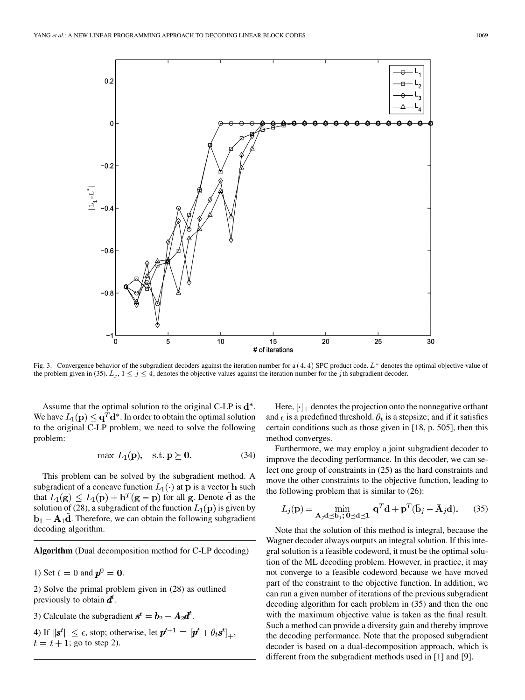

Fig. 3. Convergence behavior of the subgradient decoders against the iteration number for a  $(4, 4)$  SPC product code.  $L^*$  denotes the optimal objective value of the problem given in (35).  $L_j$ ,  $1 \leq j \leq 4$ , denotes the objective values against the iteration number for the jth subgradient decoder.

Assume that the optimal solution to the original C-LP is  $d^*$ . We have  $L_1(\mathbf{p}) \leq \mathbf{q}^T \mathbf{d}^*$ . In order to obtain the optimal solution to the original C-LP problem, we need to solve the following problem:

$$
\max L_1(\mathbf{p}), \quad \text{s.t. } \mathbf{p} \succeq \mathbf{0}.\tag{34}
$$

This problem can be solved by the subgradient method. A subgradient of a concave function  $L_1(\cdot)$  at p is a vector h such that  $L_1(g) \leq L_1(p) + h^T(g - p)$  for all g. Denote d as the solution of (28), a subgradient of the function  $L_1(\mathbf{p})$  is given by **. Therefore, we can obtain the following subgradient** decoding algorithm.

**Algorithm** (Dual decomposition method for C-LP decoding)

1) Set  $t = 0$  and  $p^0 = 0$ .

2) Solve the primal problem given in (28) as outlined previously to obtain  $\boldsymbol{d}^t$ .

3) Calculate the subgradient  $s^t = b_2 - A_2 d^t$ .

4) If  $\|\mathbf{s}^t\| \leq \epsilon$ , stop; otherwise, let  $\mathbf{p}^{t+1} = [\mathbf{p}^t + \theta_t \mathbf{s}^t]_+$ ,  $t = t + 1$ ; go to step 2).

Here,  $\lceil \cdot \rceil_+$  denotes the projection onto the nonnegative orthant and  $\epsilon$  is a predefined threshold.  $\theta_t$  is a stepsize; and if it satisfies certain conditions such as those given in [18, p. 505], then this method converges.

Furthermore, we may employ a joint subgradient decoder to improve the decoding performance. In this decoder, we can select one group of constraints in (25) as the hard constraints and move the other constraints to the objective function, leading to the following problem that is similar to (26):

$$
L_j(\mathbf{p}) = \min_{\mathbf{A}_j \mathbf{d} \preceq \mathbf{b}_j; \, \mathbf{0} \preceq \mathbf{d} \preceq \mathbf{1}} \mathbf{q}^T \mathbf{d} + \mathbf{p}^T (\bar{\mathbf{b}}_j - \bar{\mathbf{A}}_j \mathbf{d}). \tag{35}
$$

Note that the solution of this method is integral, because the Wagner decoder always outputs an integral solution. If this integral solution is a feasible codeword, it must be the optimal solution of the ML decoding problem. However, in practice, it may not converge to a feasible codeword because we have moved part of the constraint to the objective function. In addition, we can run a given number of iterations of the previous subgradient decoding algorithm for each problem in (35) and then the one with the maximum objective value is taken as the final result. Such a method can provide a diversity gain and thereby improve the decoding performance. Note that the proposed subgradient decoder is based on a dual-decomposition approach, which is different from the subgradient methods used in [1] and [9].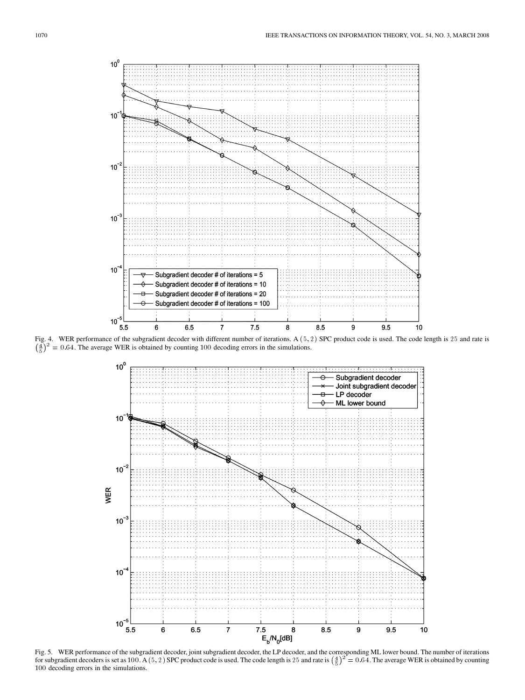

Fig. 4. WER performance of the subgradient decoder with different number of iterations. A  $(5, 2)$  SPC product code is used. The code length is 25 and rate is  $(4, 2)$  $= 0.64$ . The average WER is obtained by counting 100 decoding errors in the simulations.



Fig. 5. WER performance of the subgradient decoder, joint subgradient decoder, the LP decoder, and the corresponding ML lower bound. The number of iterations for subgradient decoders is set as 100. A (5, 2) SPC product code is used. The code length is 25 and rate is  $(\frac{4}{5})^2 = 0.64$ . The average WER is obtained by counting 100 decoding errors in the simulations.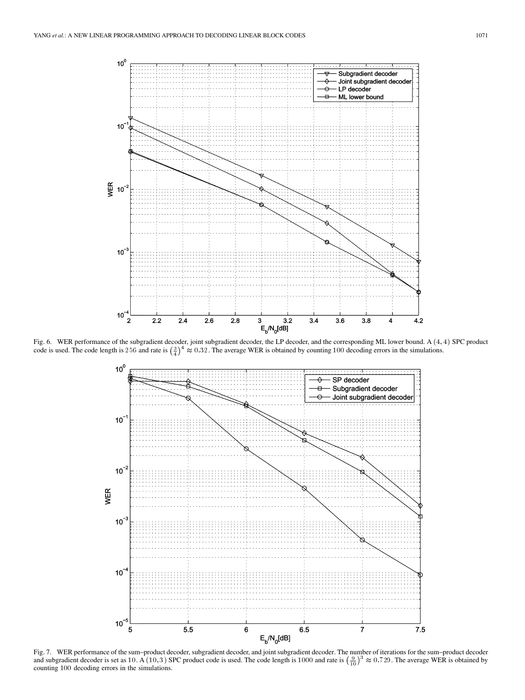

Fig. 6. WER performance of the subgradient decoder, joint subgradient decoder, the LP decoder, and the corresponding ML lower bound. A (4, 4) SPC product code is used. The code length is 256 and rate is ( $\frac{3}{4}$ )<sup>4</sup>  $\approx$ 



Fig. 7. WER performance of the sum–product decoder, subgradient decoder, and joint subgradient decoder. The number of iterations for the sum–product decoder is set as 10. A (10, 3) SPC product code is used. The code lengt counting 100 decoding errors in the simulations.